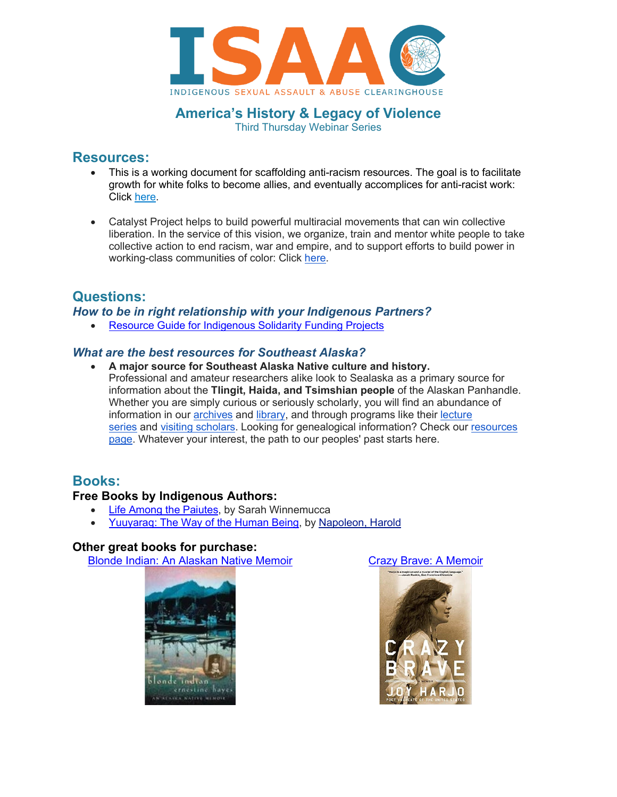

**America's History & Legacy of Violence** Third Thursday Webinar Series

## **Resources:**

- This is a working document for scaffolding anti-racism resources. The goal is to facilitate growth for white folks to become allies, and eventually accomplices for anti-racist work: Click [here.](https://docs.google.com/document/d/1PrAq4iBNb4nVIcTsLcNlW8zjaQXBLkWayL8EaPlh0bc/edit)
- Catalyst Project helps to build powerful multiracial movements that can win collective liberation. In the service of this vision, we organize, train and mentor white people to take collective action to end racism, war and empire, and to support efforts to build power in working-class communities of color: Click [here.](https://collectiveliberation.org/)

## **Questions:**

*How to be in right relationship with your Indigenous Partners?*

• [Resource Guide for Indigenous Solidarity Funding Projects](https://collectiveliberation.org/wp-content/uploads/2020/10/Resource-Guide-for-Indigenous-Solidarity-Funding-Projects-with-links.pdf?preview=true)

### *What are the best resources for Southeast Alaska?*

• **A major source for Southeast Alaska Native culture and history.** Professional and amateur researchers alike look to Sealaska as a primary source for information about the **Tlingit, Haida, and Tsimshian people** of the Alaskan Panhandle. Whether you are simply curious or seriously scholarly, you will find an abundance of information in our [archives](https://www.sealaskaheritage.org/institute/culture-and-history/programs/collections/archives) and [library,](https://www.sealaskaheritage.org/institute/culture-and-history/programs/collections/library) and through programs like their lecture [series](https://www.sealaskaheritage.org/institute/culture-and-history/programs/lecture-series) and [visiting scholars.](http://www.sealaskaheritage.org/institute/culture-and-history/programs/visiting-scholars) Looking for genealogical information? Check our resources [page.](https://www.sealaskaheritage.org/institute/culture-and-history/resources) Whatever your interest, the path to our peoples' past starts here.

## **Books:**

### **Free Books by Indigenous Authors:**

- [Life Among the Paiutes,](https://www.google.com/books/edition/Life_Among_the_Piutes/MoRGZY6tb6gC?hl=en&gbpv=1&printsec=frontcover) by Sarah Winnemucca
- [Yuuyaraq: The Way of the Human Being,](http://www.ankn.uaf.edu/publications/Books/Yuuyaraq.pdf) by [Napoleon, Harold](http://onlinebooks.library.upenn.edu/webbin/book/lookupname?key=Napoleon%2c%20Harold)

### **Other great books for purchase:**

Blonde [Indian: An Alaskan Native Memoir](https://www.amazon.com/Blonde-Indian-Alaska-Native-Memoir/dp/0816525374) [Crazy Brave: A Memoir](https://www.amazon.com/Crazy-Brave-Memoir-Joy-Harjo/dp/0393345432/ref=pd_lpo_14_img_1/134-7077990-9245027?_encoding=UTF8&pd_rd_i=0393345432&pd_rd_r=5544afba-c1d6-4ae2-b9c9-ee683ddbe346&pd_rd_w=N1DL9&pd_rd_wg=ilPls&pf_rd_p=2eae1586-a44a-4b21-997a-1dfc1740e496&pf_rd_r=V260T39CX5DJ50HTYR4G&psc=1&refRID=V260T39CX5DJ50HTYR4G)